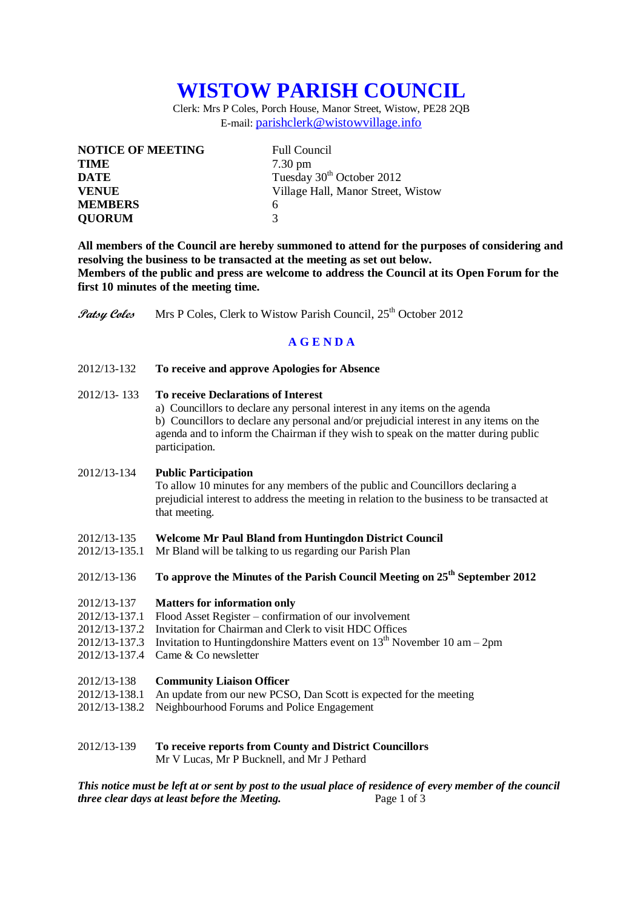# **WISTOW PARISH COUNCIL**

Clerk: Mrs P Coles, Porch House, Manor Street, Wistow, PE28 2QB E-mail: [parishclerk@wistowvillage.info](mailto:parishclerk@wistowvillage.info)

| <b>NOTICE OF MEETING</b> | <b>Full Council</b>                   |
|--------------------------|---------------------------------------|
| <b>TIME</b>              | $7.30 \text{ pm}$                     |
| <b>DATE</b>              | Tuesday 30 <sup>th</sup> October 2012 |
| <b>VENUE</b>             | Village Hall, Manor Street, Wistow    |
| <b>MEMBERS</b>           | 6                                     |
| <b>QUORUM</b>            | 3                                     |

**All members of the Council are hereby summoned to attend for the purposes of considering and resolving the business to be transacted at the meeting as set out below. Members of the public and press are welcome to address the Council at its Open Forum for the first 10 minutes of the meeting time.**

**Patsy Coles** Mrs P Coles, Clerk to Wistow Parish Council, 25<sup>th</sup> October 2012

### **A G E N D A**

2012/13-132 **To receive and approve Apologies for Absence**

#### 2012/13- 133 **To receive Declarations of Interest**

a) Councillors to declare any personal interest in any items on the agenda b) Councillors to declare any personal and/or prejudicial interest in any items on the agenda and to inform the Chairman if they wish to speak on the matter during public participation.

#### 2012/13-134 **Public Participation**

To allow 10 minutes for any members of the public and Councillors declaring a prejudicial interest to address the meeting in relation to the business to be transacted at that meeting.

- 2012/13-135 **Welcome Mr Paul Bland from Huntingdon District Council**
- 2012/13-135.1 Mr Bland will be talking to us regarding our Parish Plan
- 2012/13-136 **To approve the Minutes of the Parish Council Meeting on 25th September 2012**
- 2012/13-137 **Matters for information only**
- 2012/13-137.1 Flood Asset Register confirmation of our involvement
- 2012/13-137.2 Invitation for Chairman and Clerk to visit HDC Offices
- 2012/13-137.3 Invitation to Huntingdonshire Matters event on  $13<sup>th</sup>$  November 10 am 2pm
- 2012/13-137.4 Came & Co newsletter
- 2012/13-138 **Community Liaison Officer**
- 2012/13-138.1 An update from our new PCSO, Dan Scott is expected for the meeting
- 2012/13-138.2 Neighbourhood Forums and Police Engagement
- 2012/13-139 **To receive reports from County and District Councillors** Mr V Lucas, Mr P Bucknell, and Mr J Pethard

*This notice must be left at or sent by post to the usual place of residence of every member of the council three clear days at least before the Meeting.* Page 1 of 3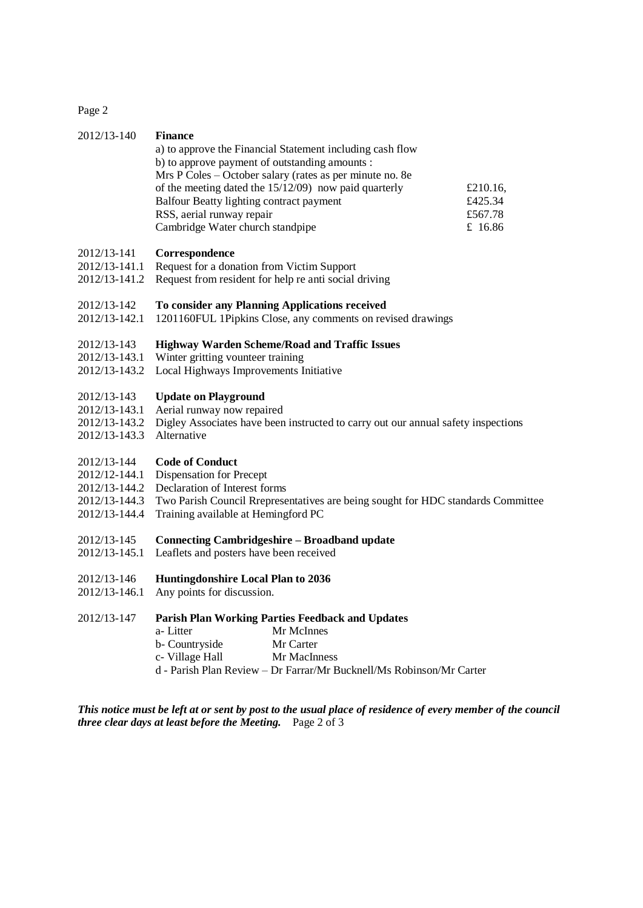Page 2

| 2012/13-140                                                                     | <b>Finance</b><br>a) to approve the Financial Statement including cash flow<br>b) to approve payment of outstanding amounts :<br>Mrs P Coles – October salary (rates as per minute no. 8e<br>of the meeting dated the 15/12/09) now paid quarterly<br>£210.16,<br>Balfour Beatty lighting contract payment<br>£425.34<br>RSS, aerial runway repair<br>£567.78<br>Cambridge Water church standpipe<br>£ 16.86 |  |
|---------------------------------------------------------------------------------|--------------------------------------------------------------------------------------------------------------------------------------------------------------------------------------------------------------------------------------------------------------------------------------------------------------------------------------------------------------------------------------------------------------|--|
| 2012/13-141<br>2012/13-141.1<br>2012/13-141.2                                   | Correspondence<br>Request for a donation from Victim Support<br>Request from resident for help re anti social driving                                                                                                                                                                                                                                                                                        |  |
| 2012/13-142<br>2012/13-142.1                                                    | To consider any Planning Applications received<br>1201160FUL 1Pipkins Close, any comments on revised drawings                                                                                                                                                                                                                                                                                                |  |
| 2012/13-143<br>2012/13-143.1<br>2012/13-143.2                                   | <b>Highway Warden Scheme/Road and Traffic Issues</b><br>Winter gritting vounteer training<br>Local Highways Improvements Initiative                                                                                                                                                                                                                                                                          |  |
| 2012/13-143<br>2012/13-143.1<br>2012/13-143.2<br>2012/13-143.3                  | <b>Update on Playground</b><br>Aerial runway now repaired<br>Digley Associates have been instructed to carry out our annual safety inspections<br>Alternative                                                                                                                                                                                                                                                |  |
| 2012/13-144<br>2012/12-144.1<br>2012/13-144.2<br>2012/13-144.3<br>2012/13-144.4 | <b>Code of Conduct</b><br><b>Dispensation for Precept</b><br>Declaration of Interest forms<br>Two Parish Council Rrepresentatives are being sought for HDC standards Committee<br>Training available at Hemingford PC                                                                                                                                                                                        |  |
| 2012/13-145<br>2012/13-145.1                                                    | <b>Connecting Cambridgeshire - Broadband update</b><br>Leaflets and posters have been received                                                                                                                                                                                                                                                                                                               |  |
| 2012/13-146<br>2012/13-146.1                                                    | <b>Huntingdonshire Local Plan to 2036</b><br>Any points for discussion.                                                                                                                                                                                                                                                                                                                                      |  |
| 2012/13-147                                                                     | <b>Parish Plan Working Parties Feedback and Updates</b><br>Mr McInnes<br>a-Litter<br>b- Countryside<br>Mr Carter<br>c- Village Hall<br>Mr MacInness<br>d - Parish Plan Review - Dr Farrar/Mr Bucknell/Ms Robinson/Mr Carter                                                                                                                                                                                  |  |
|                                                                                 | This notice must be left at or sent by post to the usual place of residence of every member of the council                                                                                                                                                                                                                                                                                                   |  |

*three clear days at least before the Meeting.* Page 2 of 3